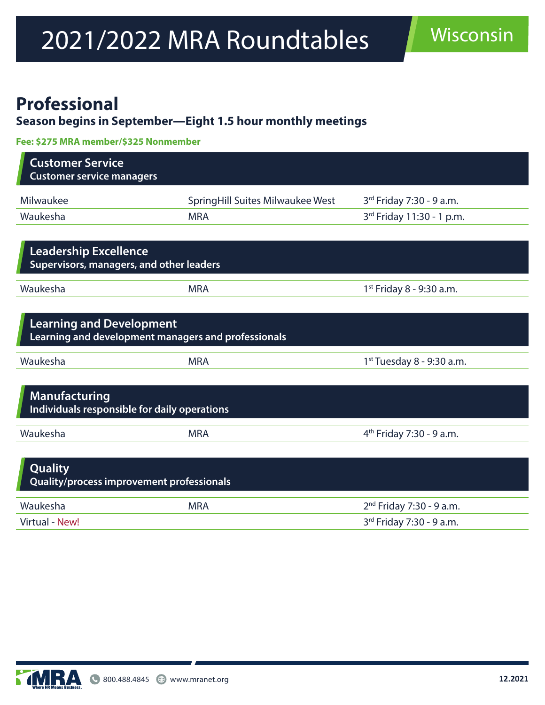# 2021/2022 MRA Roundtables Wisconsin

#### **Professional**

#### **Season begins in September—Eight 1.5 hour monthly meetings**

**Fee: \$275 MRA member/\$325 Nonmember**

| <b>Customer Service</b><br><b>Customer service managers</b>                                        |                                  |                                      |  |  |
|----------------------------------------------------------------------------------------------------|----------------------------------|--------------------------------------|--|--|
| Milwaukee                                                                                          | SpringHill Suites Milwaukee West | 3rd Friday 7:30 - 9 a.m.             |  |  |
| Waukesha                                                                                           | <b>MRA</b>                       | 3rd Friday 11:30 - 1 p.m.            |  |  |
| <b>Leadership Excellence</b><br><b>Supervisors, managers, and other leaders</b>                    |                                  |                                      |  |  |
| Waukesha                                                                                           | <b>MRA</b>                       | 1st Friday 8 - 9:30 a.m.             |  |  |
| <b>Learning and Development</b><br>Learning and development managers and professionals<br>Waukesha | <b>MRA</b>                       | 1st Tuesday 8 - 9:30 a.m.            |  |  |
| <b>Manufacturing</b><br>Individuals responsible for daily operations                               |                                  |                                      |  |  |
| Waukesha                                                                                           | <b>MRA</b>                       | 4 <sup>th</sup> Friday 7:30 - 9 a.m. |  |  |
| Quality<br>Quality/process improvement professionals                                               |                                  |                                      |  |  |
| Waukesha                                                                                           | <b>MRA</b>                       | 2 <sup>nd</sup> Friday 7:30 - 9 a.m. |  |  |
| <b>Virtual - New!</b>                                                                              |                                  | 3rd Friday 7:30 - 9 a.m.             |  |  |

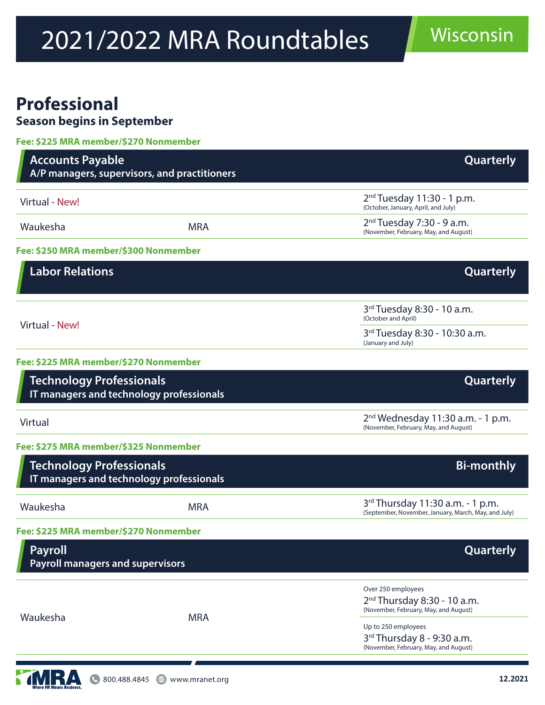# 2021/2022 MRA Roundtables Wisconsin

### **Professional**

**Season begins in September**

| Fee: \$225 MRA member/\$270 Nonmember                                       |                                              |                                                                                                        |
|-----------------------------------------------------------------------------|----------------------------------------------|--------------------------------------------------------------------------------------------------------|
| <b>Accounts Payable</b>                                                     | A/P managers, supervisors, and practitioners | Quarterly                                                                                              |
| Virtual - New!                                                              |                                              | $2nd Tuesday 11:30 - 1 p.m.$<br>(October, January, April, and July)                                    |
| Waukesha                                                                    | <b>MRA</b>                                   | $2nd Tuesday 7:30 - 9 a.m.$<br>(November, February, May, and August)                                   |
| Fee: \$250 MRA member/\$300 Nonmember                                       |                                              |                                                                                                        |
| <b>Labor Relations</b>                                                      |                                              | <b>Quarterly</b>                                                                                       |
| Virtual - New!                                                              |                                              | 3rd Tuesday 8:30 - 10 a.m.<br>(October and April)                                                      |
|                                                                             |                                              | 3rd Tuesday 8:30 - 10:30 a.m.<br>(January and July)                                                    |
| Fee: \$225 MRA member/\$270 Nonmember                                       |                                              |                                                                                                        |
| <b>Technology Professionals</b>                                             | IT managers and technology professionals     | Quarterly                                                                                              |
| <b>Virtual</b>                                                              |                                              | $2nd$ Wednesday 11:30 a.m. - 1 p.m.<br>(November, February, May, and August)                           |
| Fee: \$275 MRA member/\$325 Nonmember                                       |                                              |                                                                                                        |
| <b>Technology Professionals</b><br>IT managers and technology professionals |                                              | <b>Bi-monthly</b>                                                                                      |
| Waukesha                                                                    | <b>MRA</b>                                   | 3 <sup>rd</sup> Thursday 11:30 a.m. - 1 p.m.<br>(September, November, January, March, May, and July)   |
| Fee: \$225 MRA member/\$270 Nonmember                                       |                                              |                                                                                                        |
| <b>Payroll</b><br><b>Payroll managers and supervisors</b>                   |                                              | Quarterly                                                                                              |
| Waukesha                                                                    |                                              | Over 250 employees                                                                                     |
|                                                                             | <b>MRA</b>                                   | 2 <sup>nd</sup> Thursday 8:30 - 10 a.m.<br>(November, February, May, and August)                       |
|                                                                             |                                              | Up to 250 employees<br>3 <sup>rd</sup> Thursday 8 - 9:30 a.m.<br>(November, February, May, and August) |
|                                                                             |                                              |                                                                                                        |